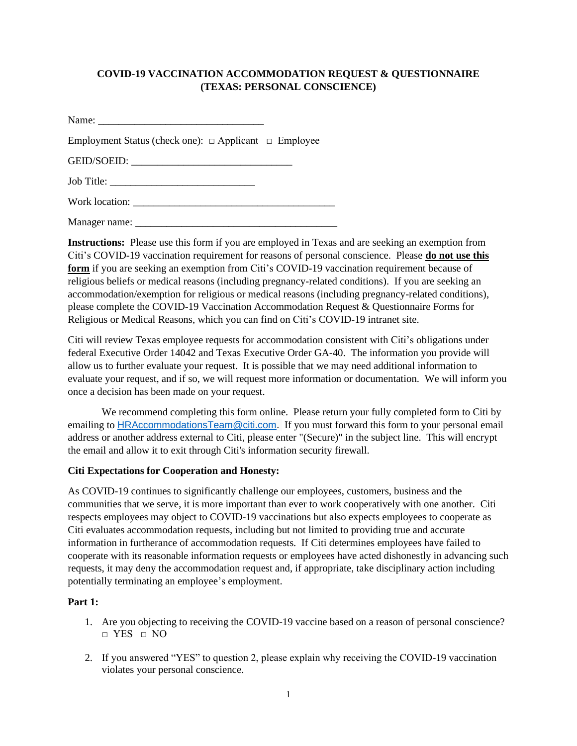## **COVID-19 VACCINATION ACCOMMODATION REQUEST & QUESTIONNAIRE (TEXAS: PERSONAL CONSCIENCE)**

| Name:                                                           |  |
|-----------------------------------------------------------------|--|
| Employment Status (check one): $\Box$ Applicant $\Box$ Employee |  |

GEID/SOEID:

Job Title: \_\_\_\_\_\_\_\_\_\_\_\_\_\_\_\_\_\_\_\_\_\_\_\_\_\_\_\_

Work location: \_\_\_\_\_\_\_\_\_\_\_\_\_\_\_\_\_\_\_\_\_\_\_\_\_\_\_\_\_\_\_\_\_\_\_\_\_\_\_

Manager name: \_\_\_\_\_\_\_\_\_\_\_\_\_\_\_\_\_\_\_\_\_\_\_\_\_\_\_\_\_\_\_\_\_\_\_\_\_\_\_

**Instructions:** Please use this form if you are employed in Texas and are seeking an exemption from Citi's COVID-19 vaccination requirement for reasons of personal conscience. Please **do not use this form** if you are seeking an exemption from Citi's COVID-19 vaccination requirement because of religious beliefs or medical reasons (including pregnancy-related conditions). If you are seeking an accommodation/exemption for religious or medical reasons (including pregnancy-related conditions), please complete the COVID-19 Vaccination Accommodation Request & Questionnaire Forms for Religious or Medical Reasons, which you can find on Citi's COVID-19 intranet site.

Citi will review Texas employee requests for accommodation consistent with Citi's obligations under federal Executive Order 14042 and Texas Executive Order GA-40. The information you provide will allow us to further evaluate your request. It is possible that we may need additional information to evaluate your request, and if so, we will request more information or documentation. We will inform you once a decision has been made on your request.

We recommend completing this form online. Please return your fully completed form to Citi by emailing to [HRAccommodationsTeam@citi.com.](mailto:HRAccommodationsTeam@citi.com) If you must forward this form to your personal email address or another address external to Citi, please enter "(Secure)" in the subject line. This will encrypt the email and allow it to exit through Citi's information security firewall.

## **Citi Expectations for Cooperation and Honesty:**

As COVID-19 continues to significantly challenge our employees, customers, business and the communities that we serve, it is more important than ever to work cooperatively with one another. Citi respects employees may object to COVID-19 vaccinations but also expects employees to cooperate as Citi evaluates accommodation requests, including but not limited to providing true and accurate information in furtherance of accommodation requests. If Citi determines employees have failed to cooperate with its reasonable information requests or employees have acted dishonestly in advancing such requests, it may deny the accommodation request and, if appropriate, take disciplinary action including potentially terminating an employee's employment.

## **Part 1:**

- 1. Are you objecting to receiving the COVID-19 vaccine based on a reason of personal conscience? □ YES □ NO
- 2. If you answered "YES" to question 2, please explain why receiving the COVID-19 vaccination violates your personal conscience.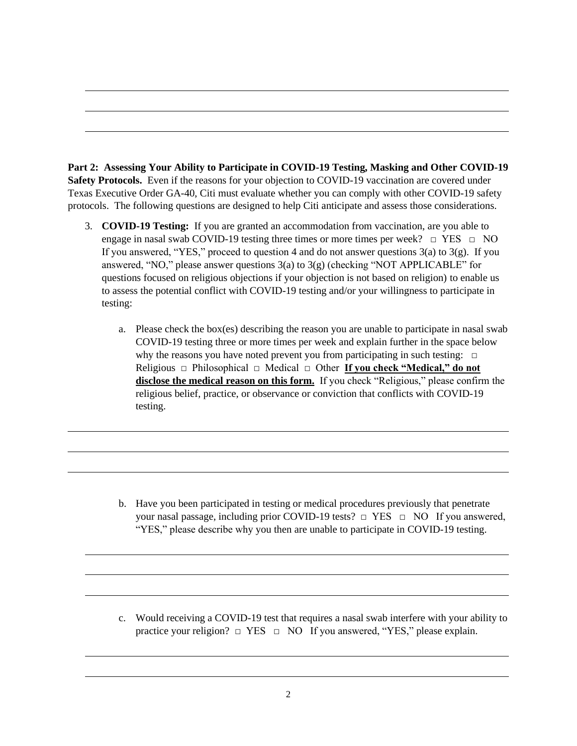**Part 2: Assessing Your Ability to Participate in COVID-19 Testing, Masking and Other COVID-19 Safety Protocols.** Even if the reasons for your objection to COVID-19 vaccination are covered under Texas Executive Order GA-40, Citi must evaluate whether you can comply with other COVID-19 safety protocols. The following questions are designed to help Citi anticipate and assess those considerations.

- 3. **COVID-19 Testing:** If you are granted an accommodation from vaccination, are you able to engage in nasal swab COVID-19 testing three times or more times per week?  $\Box$  YES  $\Box$  NO If you answered, "YES," proceed to question 4 and do not answer questions  $3(a)$  to  $3(g)$ . If you answered, "NO," please answer questions  $3(a)$  to  $3(g)$  (checking "NOT APPLICABLE" for questions focused on religious objections if your objection is not based on religion) to enable us to assess the potential conflict with COVID-19 testing and/or your willingness to participate in testing:
	- a. Please check the box(es) describing the reason you are unable to participate in nasal swab COVID-19 testing three or more times per week and explain further in the space below why the reasons you have noted prevent you from participating in such testing:  $\Box$ Religious □ Philosophical □ Medical □ Other **If you check "Medical," do not disclose the medical reason on this form.** If you check "Religious," please confirm the religious belief, practice, or observance or conviction that conflicts with COVID-19 testing.

b. Have you been participated in testing or medical procedures previously that penetrate your nasal passage, including prior COVID-19 tests?  $\Box$  YES  $\Box$  NO If you answered, "YES," please describe why you then are unable to participate in COVID-19 testing.

c. Would receiving a COVID-19 test that requires a nasal swab interfere with your ability to practice your religion?  $\Box$  YES  $\Box$  NO If you answered, "YES," please explain.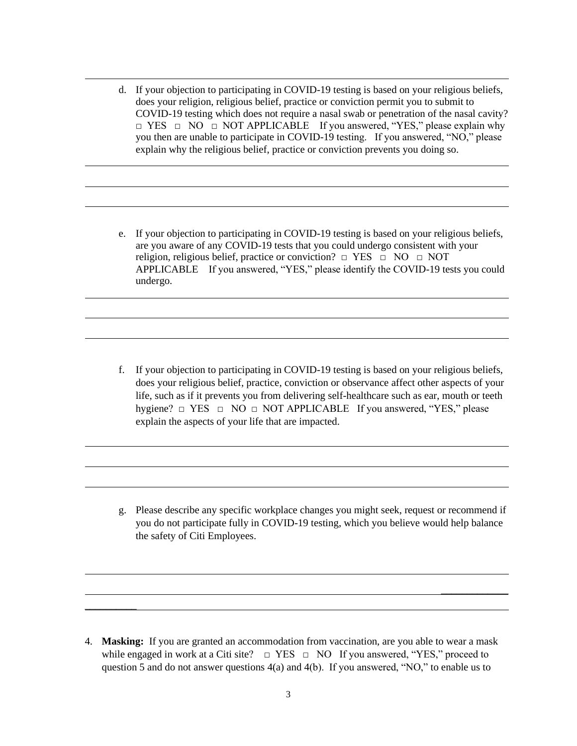- d. If your objection to participating in COVID-19 testing is based on your religious beliefs, does your religion, religious belief, practice or conviction permit you to submit to COVID-19 testing which does not require a nasal swab or penetration of the nasal cavity?  $\Box$  YES  $\Box$  NO  $\Box$  NOT APPLICABLE If you answered, "YES," please explain why you then are unable to participate in COVID-19 testing. If you answered, "NO," please explain why the religious belief, practice or conviction prevents you doing so.
- e. If your objection to participating in COVID-19 testing is based on your religious beliefs, are you aware of any COVID-19 tests that you could undergo consistent with your religion, religious belief, practice or conviction?  $\Box$  YES  $\Box$  NO  $\Box$  NOT APPLICABLE If you answered, "YES," please identify the COVID-19 tests you could undergo.

f. If your objection to participating in COVID-19 testing is based on your religious beliefs, does your religious belief, practice, conviction or observance affect other aspects of your life, such as if it prevents you from delivering self-healthcare such as ear, mouth or teeth hygiene? □ YES □ NO □ NOT APPLICABLE If you answered, "YES," please explain the aspects of your life that are impacted.

g. Please describe any specific workplace changes you might seek, request or recommend if you do not participate fully in COVID-19 testing, which you believe would help balance the safety of Citi Employees.

 $\overline{\phantom{a}}$ 

4. **Masking:** If you are granted an accommodation from vaccination, are you able to wear a mask while engaged in work at a Citi site?  $\Box$  YES  $\Box$  NO If you answered, "YES," proceed to question 5 and do not answer questions  $4(a)$  and  $4(b)$ . If you answered, "NO," to enable us to

 $\overline{\phantom{a}}$